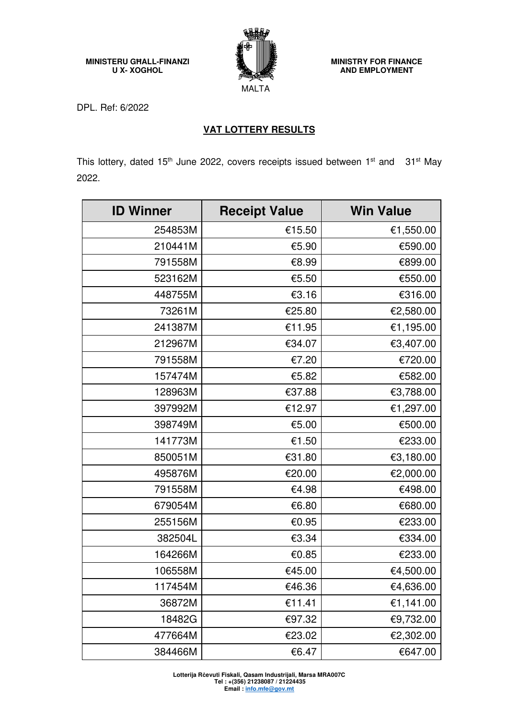**MINISTERU GĦALL-FINANZI U X- XOGHOL** 



**MINISTRY FOR FINANCE AND EMPLOYMENT** 

DPL. Ref: 6/2022

## **VAT LOTTERY RESULTS**

This lottery, dated 15<sup>th</sup> June 2022, covers receipts issued between 1<sup>st</sup> and 31<sup>st</sup> May 2022.

| <b>ID Winner</b> | <b>Receipt Value</b> | <b>Win Value</b> |
|------------------|----------------------|------------------|
| 254853M          | €15.50               | €1,550.00        |
| 210441M          | €5.90                | €590.00          |
| 791558M          | €8.99                | €899.00          |
| 523162M          | €5.50                | €550.00          |
| 448755M          | €3.16                | €316.00          |
| 73261M           | €25.80               | €2,580.00        |
| 241387M          | €11.95               | €1,195.00        |
| 212967M          | €34.07               | €3,407.00        |
| 791558M          | €7.20                | €720.00          |
| 157474M          | €5.82                | €582.00          |
| 128963M          | €37.88               | €3,788.00        |
| 397992M          | €12.97               | €1,297.00        |
| 398749M          | €5.00                | €500.00          |
| 141773M          | €1.50                | €233.00          |
| 850051M          | €31.80               | €3,180.00        |
| 495876M          | €20.00               | €2,000.00        |
| 791558M          | €4.98                | €498.00          |
| 679054M          | €6.80                | €680.00          |
| 255156M          | €0.95                | €233.00          |
| 382504L          | €3.34                | €334.00          |
| 164266M          | €0.85                | €233.00          |
| 106558M          | €45.00               | €4,500.00        |
| 117454M          | €46.36               | €4,636.00        |
| 36872M           | €11.41               | €1,141.00        |
| 18482G           | €97.32               | €9,732.00        |
| 477664M          | €23.02               | €2,302.00        |
| 384466M          | €6.47                | €647.00          |